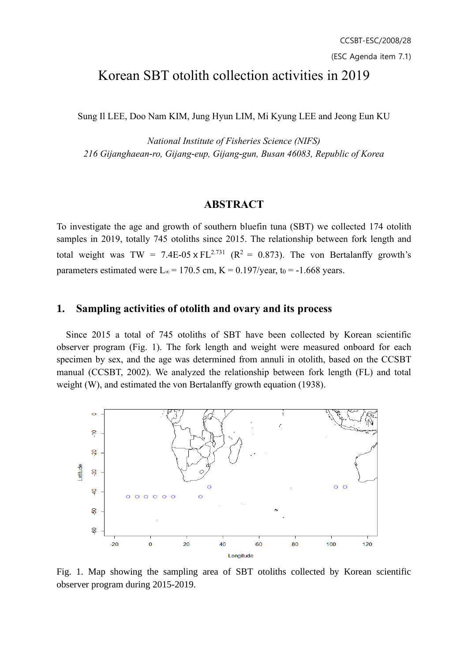# Korean SBT otolith collection activities in 2019

Sung Il LEE, Doo Nam KIM, Jung Hyun LIM, Mi Kyung LEE and Jeong Eun KU

*National Institute of Fisheries Science (NIFS) 216 Gijanghaean-ro, Gijang-eup, Gijang-gun, Busan 46083, Republic of Korea*

#### **ABSTRACT**

To investigate the age and growth of southern bluefin tuna (SBT) we collected 174 otolith samples in 2019, totally 745 otoliths since 2015. The relationship between fork length and total weight was TW = 7.4E-05 x FL<sup>2.731</sup> ( $R^2 = 0.873$ ). The von Bertalanffy growth's parameters estimated were L<sub>∞</sub> = 170.5 cm, K = 0.197/year, t<sub>0</sub> = -1.668 years.

#### **1. Sampling activities of otolith and ovary and its process**

 Since 2015 a total of 745 otoliths of SBT have been collected by Korean scientific observer program (Fig. 1). The fork length and weight were measured onboard for each specimen by sex, and the age was determined from annuli in otolith, based on the CCSBT manual (CCSBT, 2002). We analyzed the relationship between fork length (FL) and total weight (W), and estimated the von Bertalanffy growth equation (1938).



Fig. 1. Map showing the sampling area of SBT otoliths collected by Korean scientific observer program during 2015-2019.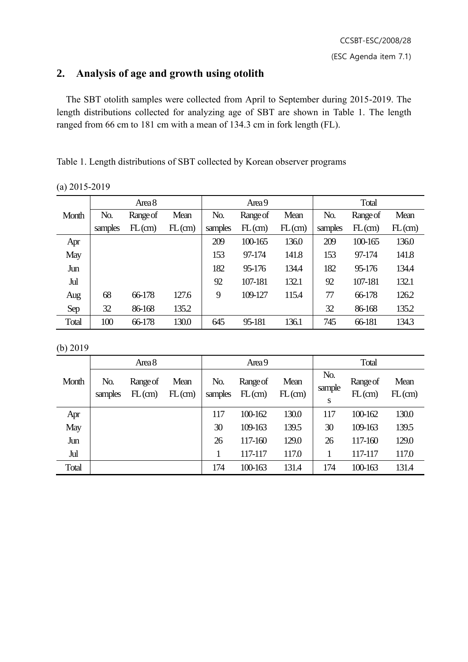## **2. Analysis of age and growth using otolith**

 The SBT otolith samples were collected from April to September during 2015-2019. The length distributions collected for analyzing age of SBT are shown in Table 1. The length ranged from 66 cm to 181 cm with a mean of 134.3 cm in fork length (FL).

Table 1. Length distributions of SBT collected by Korean observer programs

| (a) $2015 - 2019$ |  |
|-------------------|--|
|                   |  |

|       | Area 8  |          |        | Area 9  |           |        | Total   |          |           |
|-------|---------|----------|--------|---------|-----------|--------|---------|----------|-----------|
| Month | No.     | Range of | Mean   | No.     | Range of  | Mean   | No.     | Range of | Mean      |
|       | samples | FL(cm)   | FL(cm) | samples | $FL$ (cm) | FL(cm) | samples | FL(cm)   | $FL$ (cm) |
| Apr   |         |          |        | 209     | 100-165   | 136.0  | 209     | 100-165  | 136.0     |
| May   |         |          |        | 153     | 97-174    | 141.8  | 153     | 97-174   | 141.8     |
| Jun   |         |          |        | 182     | 95-176    | 134.4  | 182     | 95-176   | 134.4     |
| Jul   |         |          |        | 92      | 107-181   | 132.1  | 92      | 107-181  | 132.1     |
| Aug   | 68      | 66-178   | 127.6  | 9       | 109-127   | 115.4  | 77      | 66-178   | 126.2     |
| Sep   | 32      | 86-168   | 135.2  |         |           |        | 32      | 86-168   | 135.2     |
| Total | 100     | 66-178   | 130.0  | 645     | 95-181    | 136.1  | 745     | 66-181   | 134.3     |

(b) 2019

|       | Area 8         |                    |                | Area 9         |                    |                   | Total              |                       |                   |
|-------|----------------|--------------------|----------------|----------------|--------------------|-------------------|--------------------|-----------------------|-------------------|
| Month | No.<br>samples | Range of<br>FL(cm) | Mean<br>FL(cm) | No.<br>samples | Range of<br>FL(cm) | Mean<br>$FL$ (cm) | No.<br>sample<br>S | Range of<br>$FL$ (cm) | Mean<br>$FL$ (cm) |
| Apr   |                |                    |                | 117            | 100-162            | 130.0             | 117                | 100-162               | 130.0             |
| May   |                |                    |                | 30             | 109-163            | 139.5             | 30                 | 109-163               | 139.5             |
| Jun   |                |                    |                | 26             | 117-160            | 129.0             | 26                 | 117-160               | 129.0             |
| Jul   |                |                    |                |                | 117-117            | 117.0             |                    | 117-117               | 117.0             |
| Total |                |                    |                | 174            | 100-163            | 131.4             | 174                | 100-163               | 131.4             |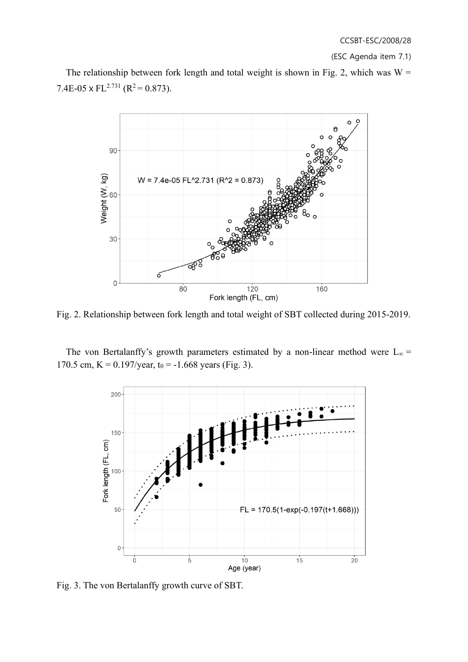(ESC Agenda item 7.1)

The relationship between fork length and total weight is shown in Fig. 2, which was  $W =$ 7.4E-05 x FL<sup>2.731</sup> (R<sup>2</sup> = 0.873).



Fig. 2. Relationship between fork length and total weight of SBT collected during 2015-2019.

The von Bertalanffy's growth parameters estimated by a non-linear method were  $L_{\infty}$  = 170.5 cm,  $K = 0.197$ /year,  $t_0 = -1.668$  years (Fig. 3).



Fig. 3. The von Bertalanffy growth curve of SBT.